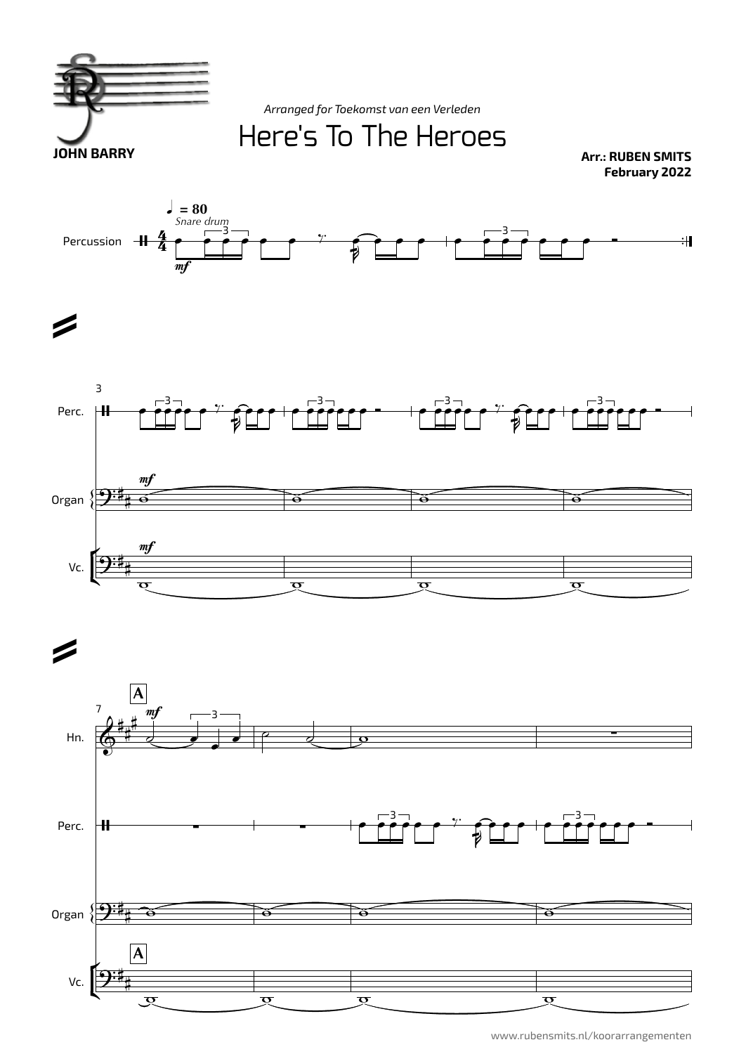

*Arranged for Toekomst van een Verleden*

## Here's To The Heroes

**Arr.: RUBEN SMITS February 2022**



=



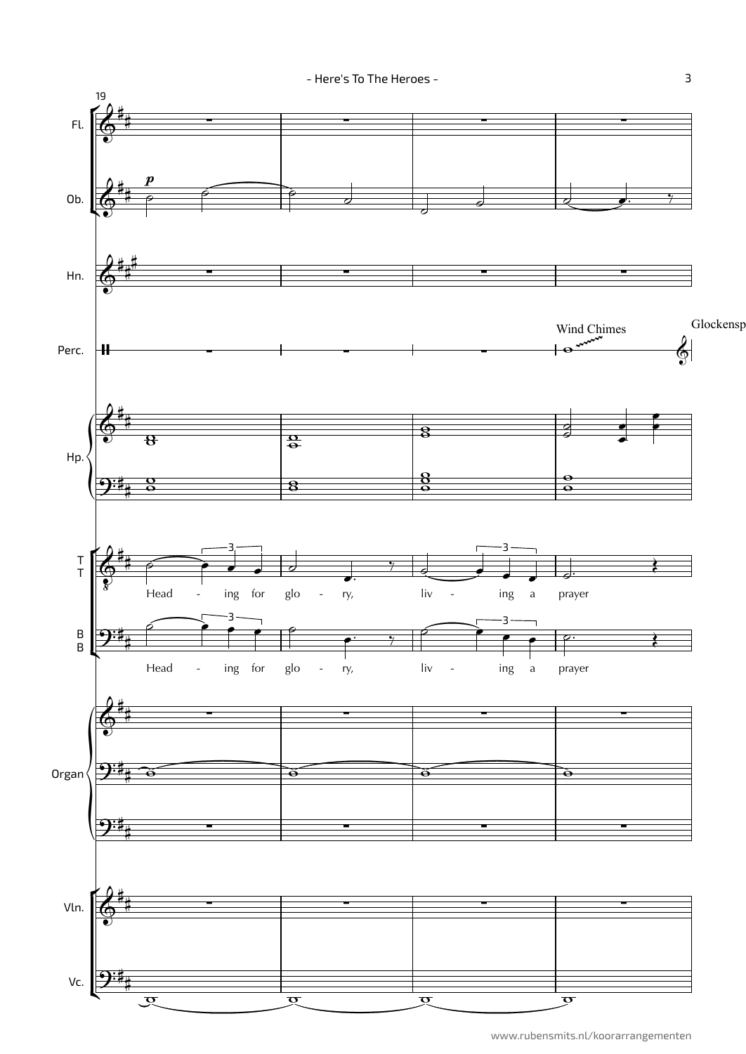- Here's To The Heroes -

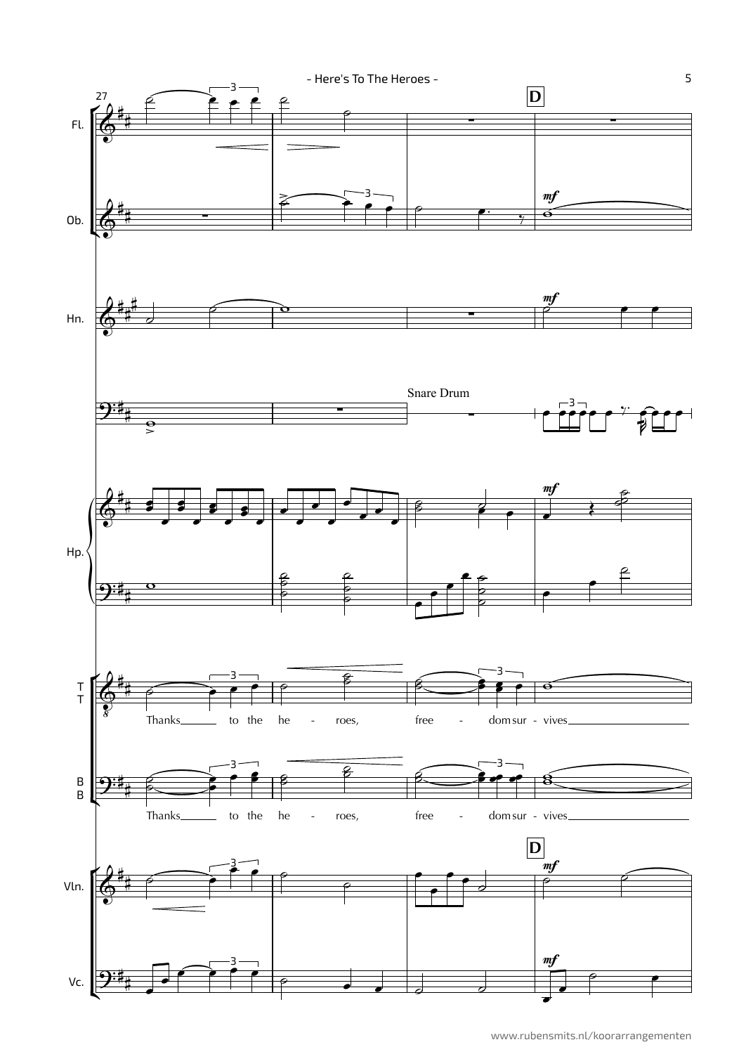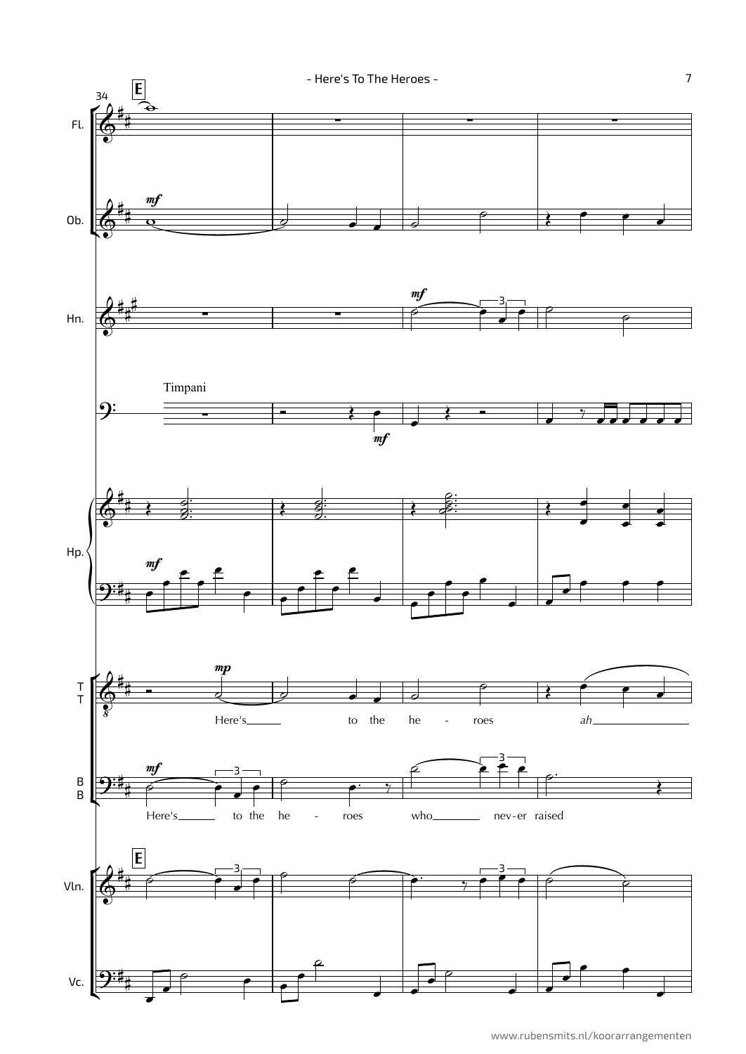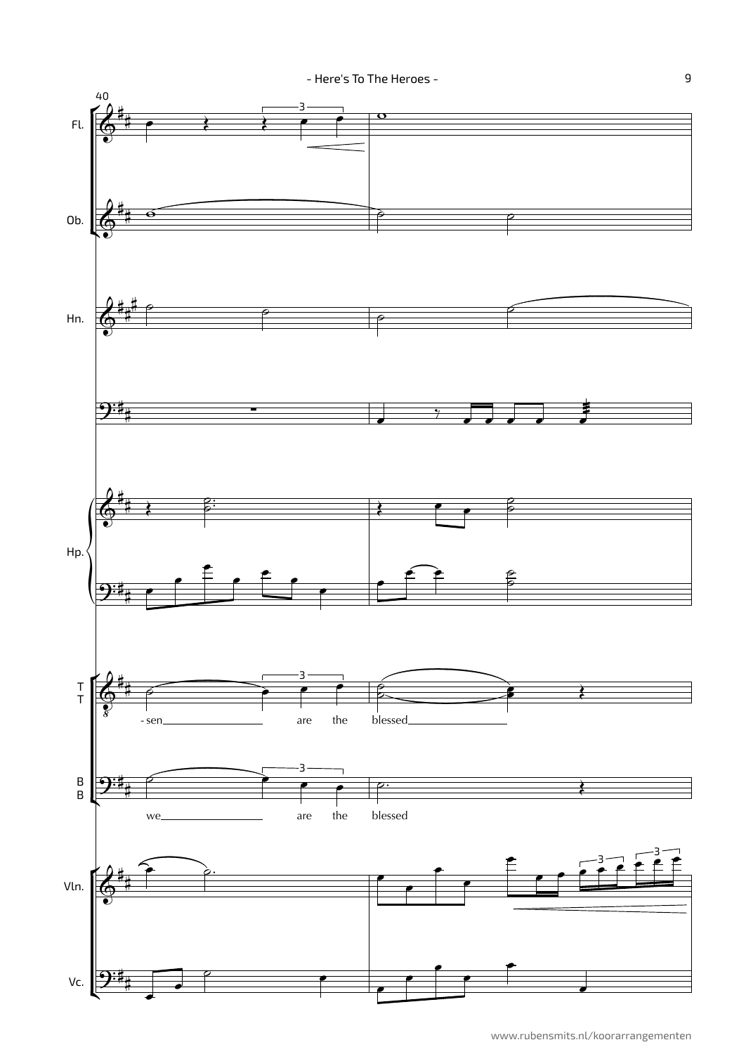



 $\overline{9}$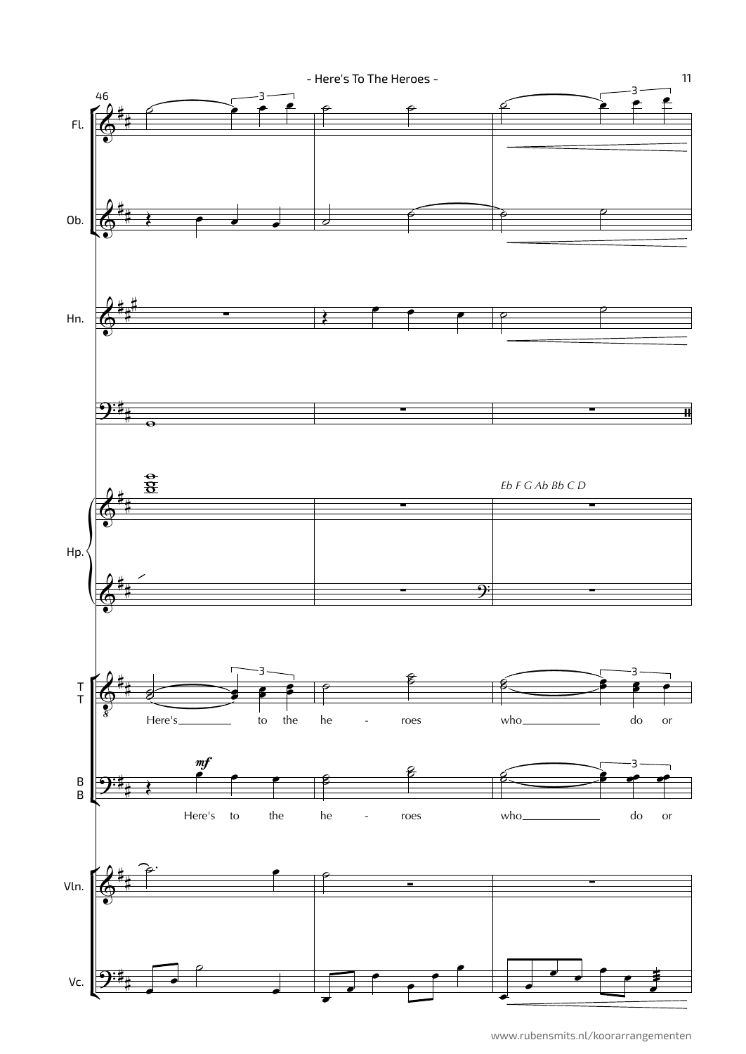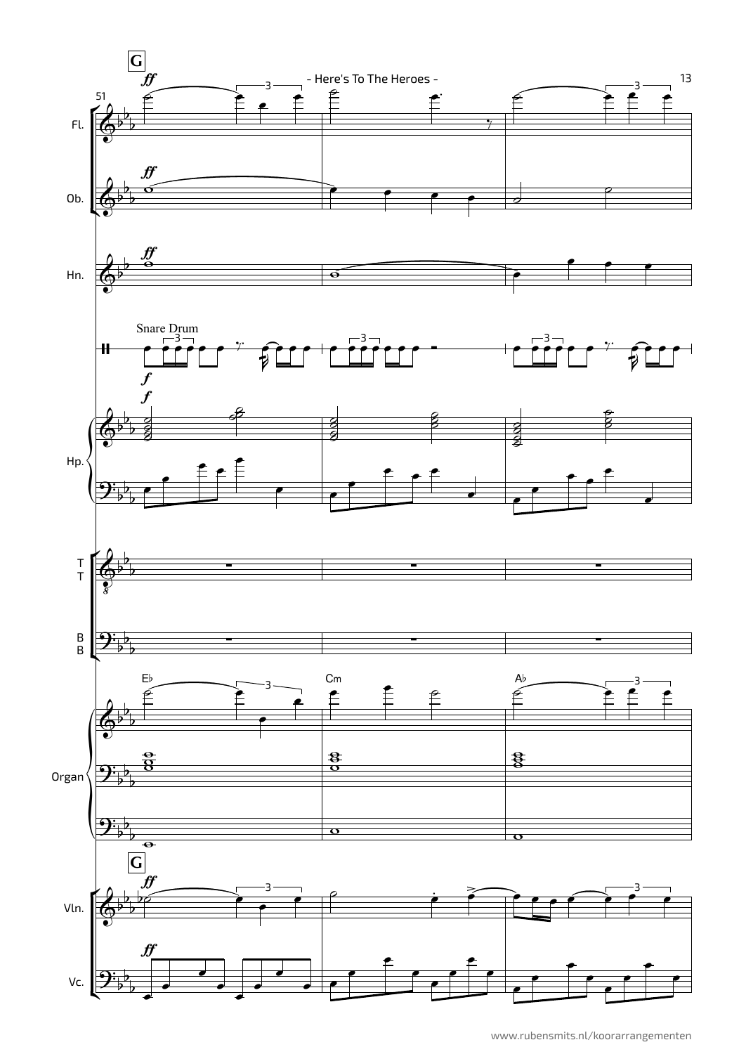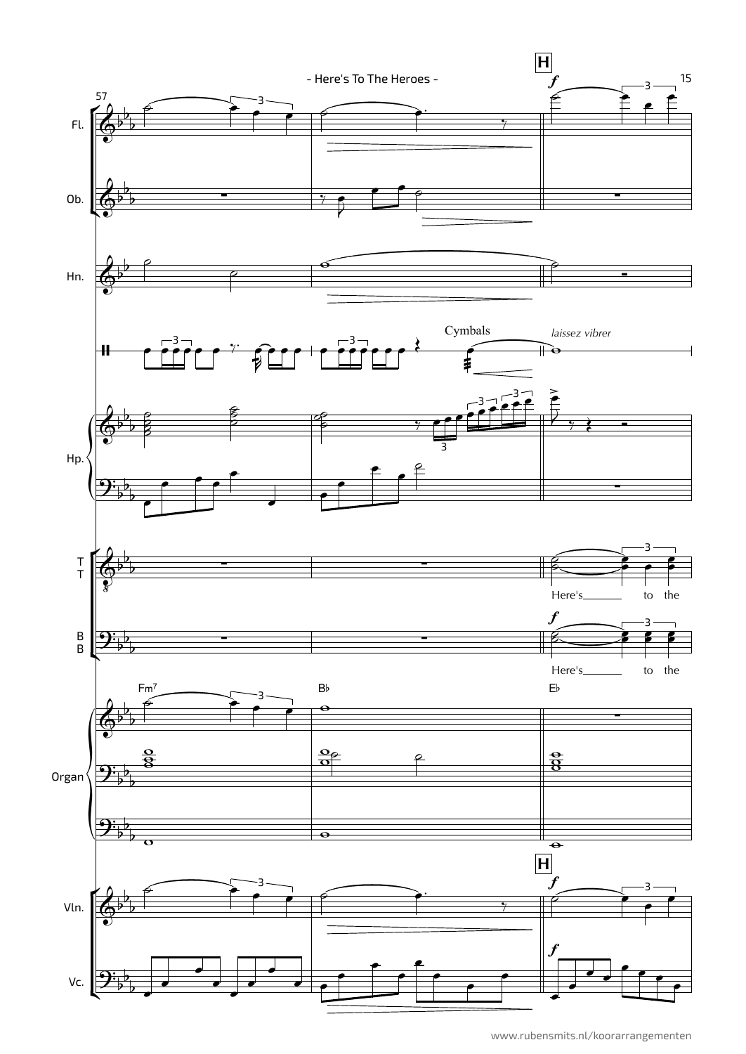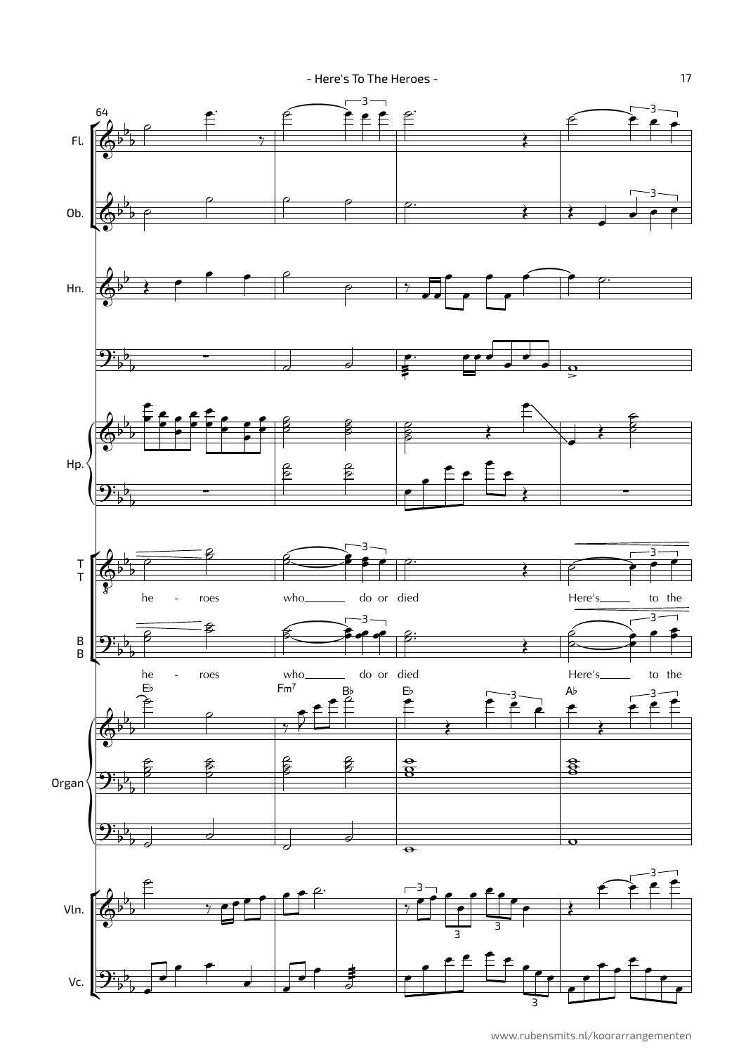- Here's To The Heroes -